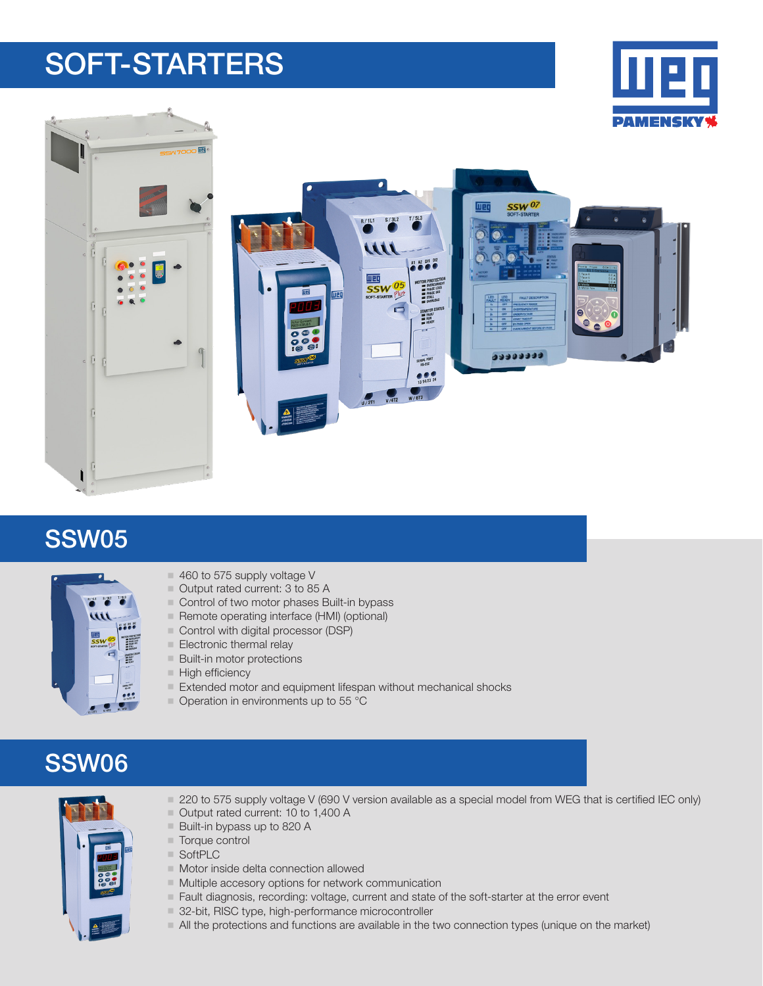# SOFT-STARTERS





#### SSW05



- 460 to 575 supply voltage V
	- Output rated current: 3 to 85 A
	- Control of two motor phases Built-in bypass
	- Remote operating interface (HMI) (optional)
	- Control with digital processor (DSP)
	- $\blacksquare$  Electronic thermal relay
	- $\blacksquare$  Built-in motor protections
	- $\blacksquare$  High efficiency
	- $\blacksquare$  Extended motor and equipment lifespan without mechanical shocks
	- $\blacksquare$  Operation in environments up to 55 °C

## SSW06



- 1220 to 575 supply voltage V (690 V version available as a special model from WEG that is certified IEC only)
- Output rated current: 10 to 1,400 A
- Built-in bypass up to 820 A
- $\blacksquare$  Torque control
- SoftPLC
- $\blacksquare$  Motor inside delta connection allowed
- $\blacksquare$  Multiple accesory options for network communication
- **Fault diagnosis, recording: voltage, current and state of the soft-starter at the error event**
- 32-bit, RISC type, high-performance microcontroller
- I All the protections and functions are available in the two connection types (unique on the market)